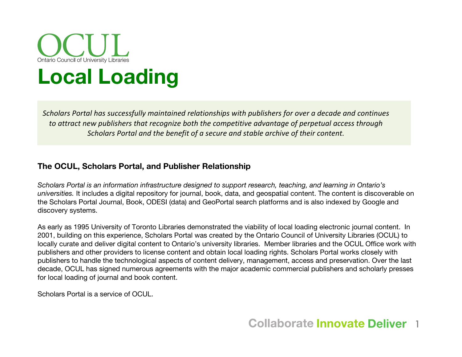

# **Local Loading**

*Scholars Portal has successfully maintained relationships with publishers for over a decade and continues* to) attract new publishers that recognize both the competitive advantage of perpetual access through *Scholars Portal and the benefit of a secure and stable archive of their content.* 

#### **The OCUL, Scholars Portal, and Publisher Relationship**

*Scholars Portal is an information infrastructure designed to support research, teaching, and learning in Ontario's universities.* It includes a digital repository for journal, book, data, and geospatial content. The content is discoverable on the Scholars Portal Journal, Book, ODESI (data) and GeoPortal search platforms and is also indexed by Google and discovery systems.

As early as 1995 University of Toronto Libraries demonstrated the viability of local loading electronic journal content. In 2001, building on this experience, Scholars Portal was created by the Ontario Council of University Libraries (OCUL) to locally curate and deliver digital content to Ontario's university libraries. Member libraries and the OCUL Office work with publishers and other providers to license content and obtain local loading rights. Scholars Portal works closely with publishers to handle the technological aspects of content delivery, management, access and preservation. Over the last decade, OCUL has signed numerous agreements with the major academic commercial publishers and scholarly presses for local loading of journal and book content.

Scholars Portal is a service of OCUL.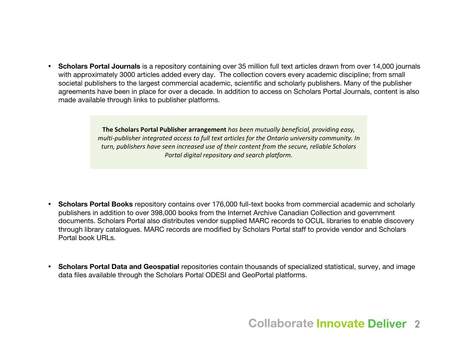• **Scholars Portal Journals** is a repository containing over 35 million full text articles drawn from over 14,000 journals with approximately 3000 articles added every day. The collection covers every academic discipline; from small societal publishers to the largest commercial academic, scientific and scholarly publishers. Many of the publisher agreements have been in place for over a decade. In addition to access on Scholars Portal Journals, content is also made available through links to publisher platforms.

> The Scholars Portal Publisher arrangement *has been mutually beneficial, providing easy, multi-publisher integrated access to full text articles for the Ontario university community. In* turn, publishers have seen increased use of their content from the secure, reliable Scholars *Portal digital repository and search platform.*

- **Scholars Portal Books** repository contains over 176,000 full-text books from commercial academic and scholarly publishers in addition to over 398,000 books from the Internet Archive Canadian Collection and government documents. Scholars Portal also distributes vendor supplied MARC records to OCUL libraries to enable discovery through library catalogues. MARC records are modified by Scholars Portal staff to provide vendor and Scholars Portal book URLs.
- **Scholars Portal Data and Geospatial** repositories contain thousands of specialized statistical, survey, and image data files available through the Scholars Portal ODESI and GeoPortal platforms.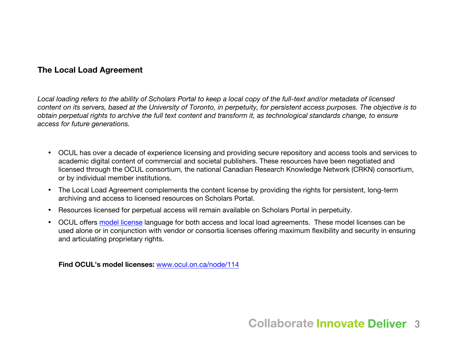#### **The Local Load Agreement**

*Local loading refers to the ability of Scholars Portal to keep a local copy of the full-text and/or metadata of licensed content on its servers, based at the University of Toronto, in perpetuity, for persistent access purposes. The objective is to obtain perpetual rights to archive the full text content and transform it, as technological standards change, to ensure access for future generations.* 

- OCUL has over a decade of experience licensing and providing secure repository and access tools and services to academic digital content of commercial and societal publishers. These resources have been negotiated and licensed through the OCUL consortium, the national Canadian Research Knowledge Network (CRKN) consortium, or by individual member institutions.
- The Local Load Agreement complements the content license by providing the rights for persistent, long-term archiving and access to licensed resources on Scholars Portal.
- Resources licensed for perpetual access will remain available on Scholars Portal in perpetuity.
- OCUL offers [model license](www.ocul.on.ca/node/114) language for both access and local load agreements. These model licenses can be used alone or in conjunction with vendor or consortia licenses offering maximum flexibility and security in ensuring and articulating proprietary rights.

**Find OCUL's model licenses:** www.ocul.on.ca/node/114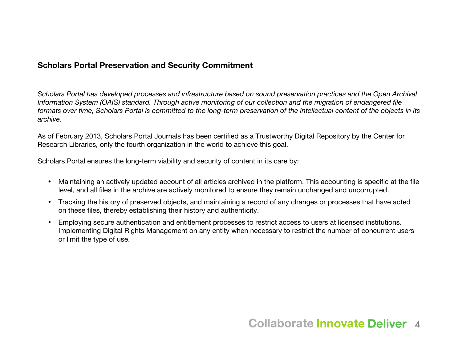#### **Scholars Portal Preservation and Security Commitment**

*Scholars Portal has developed processes and infrastructure based on sound preservation practices and the Open Archival Information System (OAIS) standard. Through active monitoring of our collection and the migration of endangered file formats over time, Scholars Portal is committed to the long-term preservation of the intellectual content of the objects in its archive.* 

As of February 2013, Scholars Portal Journals has been certified as a Trustworthy Digital Repository by the Center for Research Libraries, only the fourth organization in the world to achieve this goal.

Scholars Portal ensures the long-term viability and security of content in its care by:

- Maintaining an actively updated account of all articles archived in the platform. This accounting is specific at the file level, and all files in the archive are actively monitored to ensure they remain unchanged and uncorrupted.
- Tracking the history of preserved objects, and maintaining a record of any changes or processes that have acted on these files, thereby establishing their history and authenticity.
- Employing secure authentication and entitlement processes to restrict access to users at licensed institutions. Implementing Digital Rights Management on any entity when necessary to restrict the number of concurrent users or limit the type of use.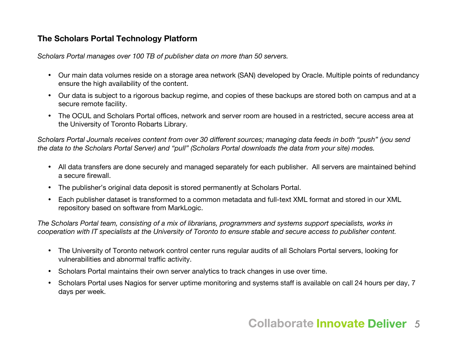#### **The Scholars Portal Technology Platform**

*Scholars Portal manages over 100 TB of publisher data on more than 50 servers.* 

- Our main data volumes reside on a storage area network (SAN) developed by Oracle. Multiple points of redundancy ensure the high availability of the content.
- Our data is subject to a rigorous backup regime, and copies of these backups are stored both on campus and at a secure remote facility.
- The OCUL and Scholars Portal offices, network and server room are housed in a restricted, secure access area at the University of Toronto Robarts Library.

*Scholars Portal Journals receives content from over 30 different sources; managing data feeds in both "push" (you send the data to the Scholars Portal Server) and "pull" (Scholars Portal downloads the data from your site) modes.* 

- All data transfers are done securely and managed separately for each publisher. All servers are maintained behind a secure firewall.
- The publisher's original data deposit is stored permanently at Scholars Portal.
- Each publisher dataset is transformed to a common metadata and full-text XML format and stored in our XML repository based on software from MarkLogic.

*The Scholars Portal team, consisting of a mix of librarians, programmers and systems support specialists, works in cooperation with IT specialists at the University of Toronto to ensure stable and secure access to publisher content.* 

- The University of Toronto network control center runs regular audits of all Scholars Portal servers, looking for vulnerabilities and abnormal traffic activity.
- Scholars Portal maintains their own server analytics to track changes in use over time.
- Scholars Portal uses Nagios for server uptime monitoring and systems staff is available on call 24 hours per day, 7 days per week.